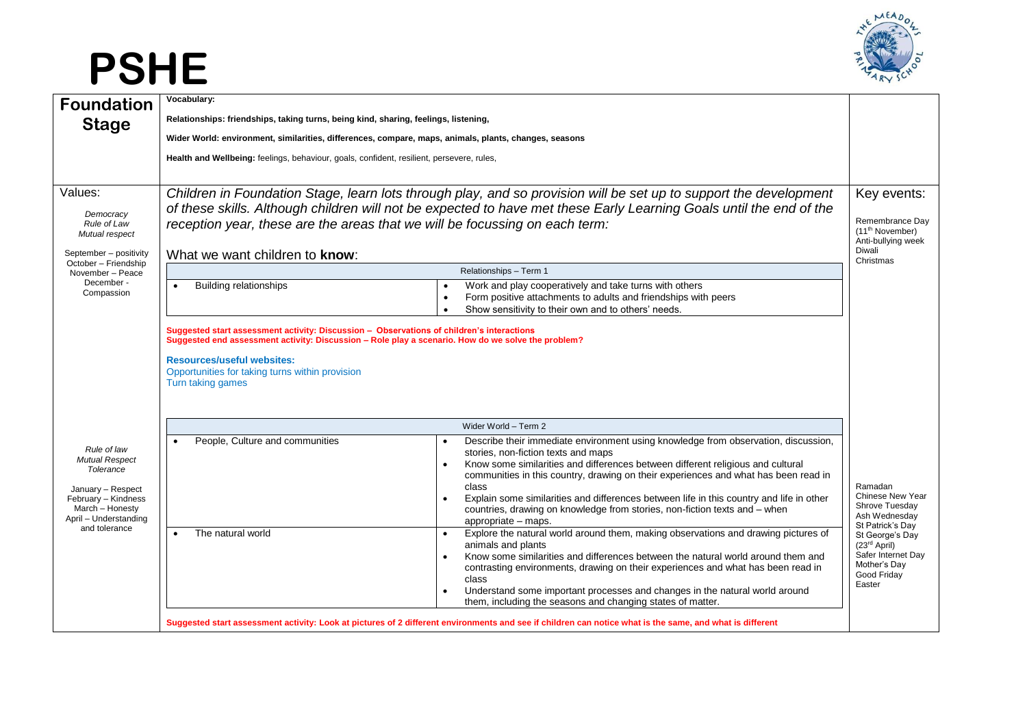## **PSHE**



| <b>Foundation</b>                                                                             | Vocabulary:                                                                                                                                                                                                                                                                                                                                               |                                                                                                                                                                                                                                                                                                                                                                                                                       |                                                                                                            |
|-----------------------------------------------------------------------------------------------|-----------------------------------------------------------------------------------------------------------------------------------------------------------------------------------------------------------------------------------------------------------------------------------------------------------------------------------------------------------|-----------------------------------------------------------------------------------------------------------------------------------------------------------------------------------------------------------------------------------------------------------------------------------------------------------------------------------------------------------------------------------------------------------------------|------------------------------------------------------------------------------------------------------------|
| <b>Stage</b>                                                                                  | Relationships: friendships, taking turns, being kind, sharing, feelings, listening,                                                                                                                                                                                                                                                                       |                                                                                                                                                                                                                                                                                                                                                                                                                       |                                                                                                            |
|                                                                                               | Wider World: environment, similarities, differences, compare, maps, animals, plants, changes, seasons                                                                                                                                                                                                                                                     |                                                                                                                                                                                                                                                                                                                                                                                                                       |                                                                                                            |
|                                                                                               | Health and Wellbeing: feelings, behaviour, goals, confident, resilient, persevere, rules,                                                                                                                                                                                                                                                                 |                                                                                                                                                                                                                                                                                                                                                                                                                       |                                                                                                            |
| Values:<br>Democracy<br>Rule of Law<br>Mutual respect<br>September - positivity               | Children in Foundation Stage, learn lots through play, and so provision will be set up to support the development<br>of these skills. Although children will not be expected to have met these Early Learning Goals until the end of the<br>reception year, these are the areas that we will be focussing on each term:<br>What we want children to know: |                                                                                                                                                                                                                                                                                                                                                                                                                       | Key events:<br>Remembrance Day<br>(11 <sup>th</sup> November)<br>Anti-bullying week<br>Diwali<br>Christmas |
| October - Friendship<br>November - Peace<br>December -<br>Compassion                          | Relationships - Term 1                                                                                                                                                                                                                                                                                                                                    |                                                                                                                                                                                                                                                                                                                                                                                                                       |                                                                                                            |
|                                                                                               | <b>Building relationships</b><br>$\bullet$                                                                                                                                                                                                                                                                                                                | Work and play cooperatively and take turns with others<br>$\bullet$<br>Form positive attachments to adults and friendships with peers<br>$\bullet$<br>Show sensitivity to their own and to others' needs.                                                                                                                                                                                                             |                                                                                                            |
|                                                                                               | Suggested start assessment activity: Discussion - Observations of children's interactions<br>Suggested end assessment activity: Discussion - Role play a scenario. How do we solve the problem?                                                                                                                                                           |                                                                                                                                                                                                                                                                                                                                                                                                                       |                                                                                                            |
|                                                                                               | <b>Resources/useful websites:</b><br>Opportunities for taking turns within provision<br>Turn taking games                                                                                                                                                                                                                                                 |                                                                                                                                                                                                                                                                                                                                                                                                                       |                                                                                                            |
|                                                                                               |                                                                                                                                                                                                                                                                                                                                                           | Wider World - Term 2                                                                                                                                                                                                                                                                                                                                                                                                  |                                                                                                            |
| Rule of law<br><b>Mutual Respect</b><br>Tolerance<br>January - Respect<br>February - Kindness | People, Culture and communities                                                                                                                                                                                                                                                                                                                           | Describe their immediate environment using knowledge from observation, discussion,<br>stories, non-fiction texts and maps<br>Know some similarities and differences between different religious and cultural<br>communities in this country, drawing on their experiences and what has been read in<br>class<br>Explain some similarities and differences between life in this country and life in other<br>$\bullet$ | Ramadan<br><b>Chinese New Year</b>                                                                         |
| March - Honesty<br>April - Understanding                                                      |                                                                                                                                                                                                                                                                                                                                                           | countries, drawing on knowledge from stories, non-fiction texts and - when<br>appropriate – maps.                                                                                                                                                                                                                                                                                                                     | Shrove Tuesday<br>Ash Wednesday<br>St Patrick's Day                                                        |